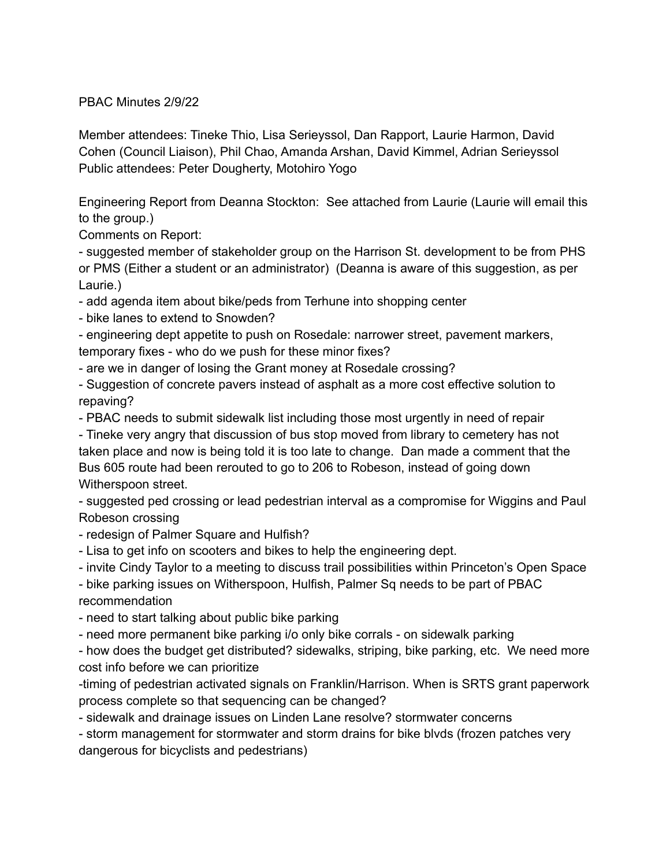PBAC Minutes 2/9/22

Member attendees: Tineke Thio, Lisa Serieyssol, Dan Rapport, Laurie Harmon, David Cohen (Council Liaison), Phil Chao, Amanda Arshan, David Kimmel, Adrian Serieyssol Public attendees: Peter Dougherty, Motohiro Yogo

Engineering Report from Deanna Stockton: See attached from Laurie (Laurie will email this to the group.)

Comments on Report:

- suggested member of stakeholder group on the Harrison St. development to be from PHS or PMS (Either a student or an administrator) (Deanna is aware of this suggestion, as per Laurie.)

- add agenda item about bike/peds from Terhune into shopping center

- bike lanes to extend to Snowden?

- engineering dept appetite to push on Rosedale: narrower street, pavement markers, temporary fixes - who do we push for these minor fixes?

- are we in danger of losing the Grant money at Rosedale crossing?

- Suggestion of concrete pavers instead of asphalt as a more cost effective solution to repaving?

- PBAC needs to submit sidewalk list including those most urgently in need of repair

- Tineke very angry that discussion of bus stop moved from library to cemetery has not taken place and now is being told it is too late to change. Dan made a comment that the Bus 605 route had been rerouted to go to 206 to Robeson, instead of going down Witherspoon street.

- suggested ped crossing or lead pedestrian interval as a compromise for Wiggins and Paul Robeson crossing

- redesign of Palmer Square and Hulfish?

- Lisa to get info on scooters and bikes to help the engineering dept.

- invite Cindy Taylor to a meeting to discuss trail possibilities within Princeton's Open Space

- bike parking issues on Witherspoon, Hulfish, Palmer Sq needs to be part of PBAC recommendation

- need to start talking about public bike parking

- need more permanent bike parking i/o only bike corrals - on sidewalk parking

- how does the budget get distributed? sidewalks, striping, bike parking, etc. We need more cost info before we can prioritize

-timing of pedestrian activated signals on Franklin/Harrison. When is SRTS grant paperwork process complete so that sequencing can be changed?

- sidewalk and drainage issues on Linden Lane resolve? stormwater concerns

- storm management for stormwater and storm drains for bike blvds (frozen patches very dangerous for bicyclists and pedestrians)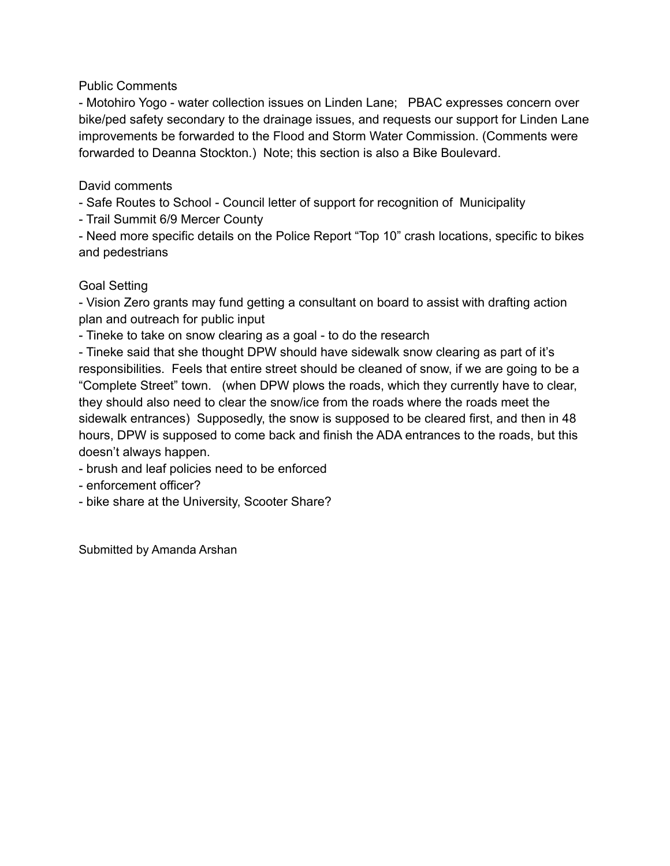## Public Comments

- Motohiro Yogo - water collection issues on Linden Lane; PBAC expresses concern over bike/ped safety secondary to the drainage issues, and requests our support for Linden Lane improvements be forwarded to the Flood and Storm Water Commission. (Comments were forwarded to Deanna Stockton.) Note; this section is also a Bike Boulevard.

## David comments

- Safe Routes to School - Council letter of support for recognition of Municipality

- Trail Summit 6/9 Mercer County

- Need more specific details on the Police Report "Top 10" crash locations, specific to bikes and pedestrians

## Goal Setting

- Vision Zero grants may fund getting a consultant on board to assist with drafting action plan and outreach for public input

- Tineke to take on snow clearing as a goal - to do the research

- Tineke said that she thought DPW should have sidewalk snow clearing as part of it's responsibilities. Feels that entire street should be cleaned of snow, if we are going to be a "Complete Street" town. (when DPW plows the roads, which they currently have to clear, they should also need to clear the snow/ice from the roads where the roads meet the sidewalk entrances) Supposedly, the snow is supposed to be cleared first, and then in 48 hours, DPW is supposed to come back and finish the ADA entrances to the roads, but this doesn't always happen.

- brush and leaf policies need to be enforced

- enforcement officer?

- bike share at the University, Scooter Share?

Submitted by Amanda Arshan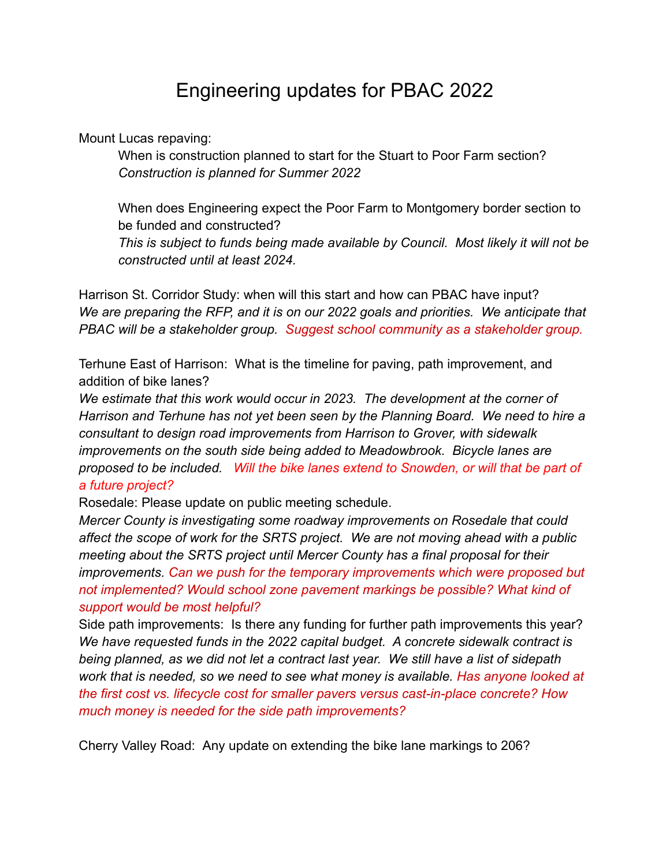## Engineering updates for PBAC 2022

Mount Lucas repaving:

When is construction planned to start for the Stuart to Poor Farm section? *Construction is planned for Summer 2022*

When does Engineering expect the Poor Farm to Montgomery border section to be funded and constructed?

*This is subject to funds being made available by Council. Most likely it will not be constructed until at least 2024.*

Harrison St. Corridor Study: when will this start and how can PBAC have input? *We are preparing the RFP, and it is on our 2022 goals and priorities. We anticipate that PBAC will be a stakeholder group. Suggest school community as a stakeholder group.*

Terhune East of Harrison: What is the timeline for paving, path improvement, and addition of bike lanes?

*We estimate that this work would occur in 2023. The development at the corner of Harrison and Terhune has not yet been seen by the Planning Board. We need to hire a consultant to design road improvements from Harrison to Grover, with sidewalk improvements on the south side being added to Meadowbrook. Bicycle lanes are proposed to be included. Will the bike lanes extend to Snowden, or will that be part of a future project?*

Rosedale: Please update on public meeting schedule.

*Mercer County is investigating some roadway improvements on Rosedale that could affect the scope of work for the SRTS project. We are not moving ahead with a public meeting about the SRTS project until Mercer County has a final proposal for their improvements. Can we push for the temporary improvements which were proposed but not implemented? Would school zone pavement markings be possible? What kind of support would be most helpful?*

Side path improvements: Is there any funding for further path improvements this year? *We have requested funds in the 2022 capital budget. A concrete sidewalk contract is being planned, as we did not let a contract last year. We still have a list of sidepath work that is needed, so we need to see what money is available. Has anyone looked at the first cost vs. lifecycle cost for smaller pavers versus cast-in-place concrete? How much money is needed for the side path improvements?*

Cherry Valley Road: Any update on extending the bike lane markings to 206?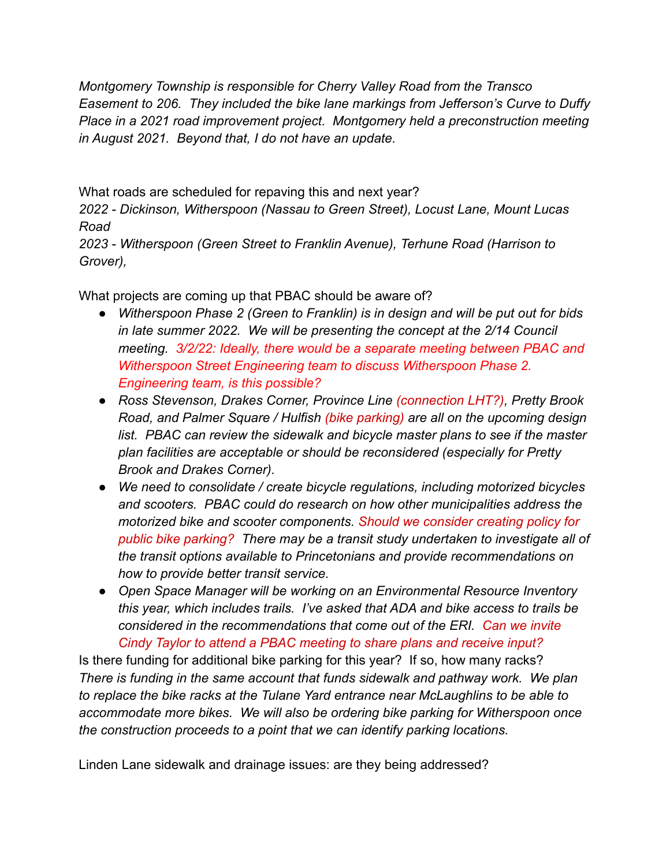*Montgomery Township is responsible for Cherry Valley Road from the Transco Easement to 206. They included the bike lane markings from Jefferson's Curve to Duffy Place in a 2021 road improvement project. Montgomery held a preconstruction meeting in August 2021. Beyond that, I do not have an update.*

What roads are scheduled for repaving this and next year?

*2022 - Dickinson, Witherspoon (Nassau to Green Street), Locust Lane, Mount Lucas Road*

*2023 - Witherspoon (Green Street to Franklin Avenue), Terhune Road (Harrison to Grover),*

What projects are coming up that PBAC should be aware of?

- *● Witherspoon Phase 2 (Green to Franklin) is in design and will be put out for bids in late summer 2022. We will be presenting the concept at the 2/14 Council meeting. 3/2/22: Ideally, there would be a separate meeting between PBAC and Witherspoon Street Engineering team to discuss Witherspoon Phase 2. Engineering team, is this possible?*
- *● Ross Stevenson, Drakes Corner, Province Line (connection LHT?), Pretty Brook Road, and Palmer Square / Hulfish (bike parking) are all on the upcoming design list. PBAC can review the sidewalk and bicycle master plans to see if the master plan facilities are acceptable or should be reconsidered (especially for Pretty Brook and Drakes Corner).*
- *● We need to consolidate / create bicycle regulations, including motorized bicycles and scooters. PBAC could do research on how other municipalities address the motorized bike and scooter components. Should we consider creating policy for public bike parking? There may be a transit study undertaken to investigate all of the transit options available to Princetonians and provide recommendations on how to provide better transit service.*
- *● Open Space Manager will be working on an Environmental Resource Inventory this year, which includes trails. I've asked that ADA and bike access to trails be considered in the recommendations that come out of the ERI. Can we invite Cindy Taylor to attend a PBAC meeting to share plans and receive input?*

Is there funding for additional bike parking for this year? If so, how many racks? *There is funding in the same account that funds sidewalk and pathway work. We plan to replace the bike racks at the Tulane Yard entrance near McLaughlins to be able to accommodate more bikes. We will also be ordering bike parking for Witherspoon once the construction proceeds to a point that we can identify parking locations.*

Linden Lane sidewalk and drainage issues: are they being addressed?